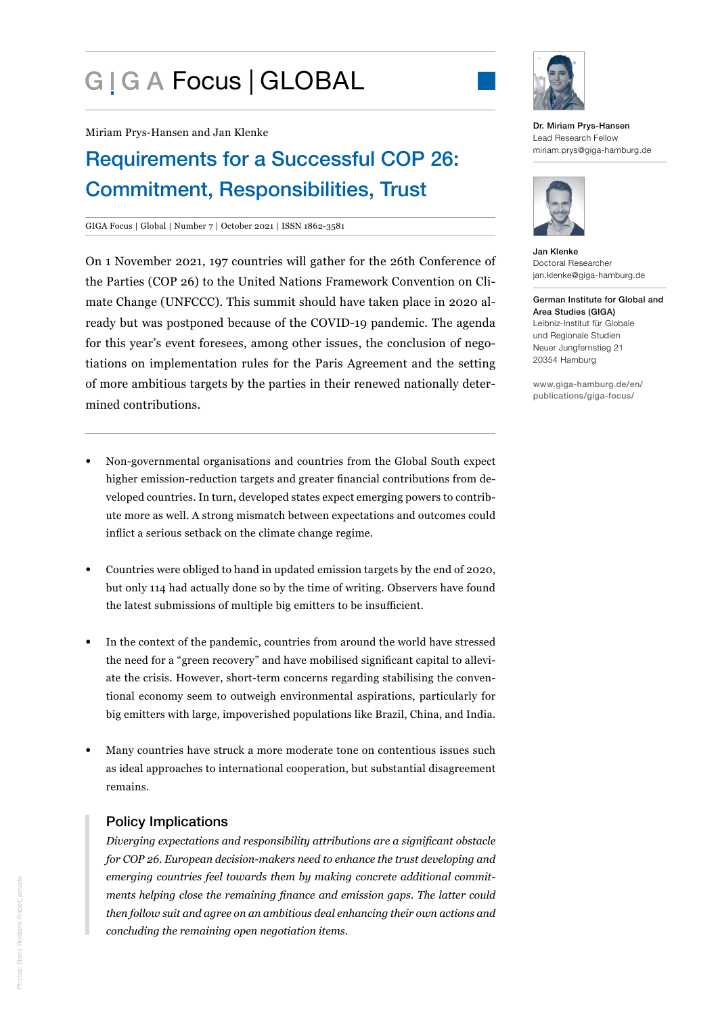# G | G A Focus | GLOBAL



Miriam Prys-Hansen and Jan Klenke

## Requirements for a Successful COP 26: Commitment, Responsibilities, Trust

#### GIGA Focus | Global | Number 7 | October 2021 | ISSN 1862-3581

On 1 November 2021, 197 countries will gather for the 26th Conference of the Parties (COP 26) to the United Nations Framework Convention on Climate Change (UNFCCC). This summit should have taken place in 2020 already but was postponed because of the COVID-19 pandemic. The agenda for this year's event foresees, among other issues, the conclusion of negotiations on implementation rules for the Paris Agreement and the setting of more ambitious targets by the parties in their renewed nationally determined contributions.

- Non-governmental organisations and countries from the Global South expect higher emission-reduction targets and greater financial contributions from developed countries. In turn, developed states expect emerging powers to contribute more as well. A strong mismatch between expectations and outcomes could inflict a serious setback on the climate change regime.
- Countries were obliged to hand in updated emission targets by the end of 2020, but only 114 had actually done so by the time of writing. Observers have found the latest submissions of multiple big emitters to be insufficient.
- In the context of the pandemic, countries from around the world have stressed the need for a "green recovery" and have mobilised significant capital to alleviate the crisis. However, short-term concerns regarding stabilising the conventional economy seem to outweigh environmental aspirations, particularly for big emitters with large, impoverished populations like Brazil, China, and India.
- Many countries have struck a more moderate tone on contentious issues such as ideal approaches to international cooperation, but substantial disagreement remains.

#### Policy Implications

*Diverging expectations and responsibility attributions are a significant obstacle for COP 26. European decision-makers need to enhance the trust developing and emerging countries feel towards them by making concrete additional commitments helping close the remaining finance and emission gaps. The latter could then follow suit and agree on an ambitious deal enhancing their own actions and concluding the remaining open negotiation items.*

Dr. Miriam Prys-Hansen Lead Research Fellow miriam.prys@giga-hamburg.de



Jan Klenke Doctoral Researcher jan.klenke@giga-hamburg.de

German Institute for Global and Area Studies (GIGA) Leibniz-Institut für Globale und Regionale Studien Neuer Jungfernstieg 21 20354 Hamburg

[www.giga-hamburg.de/en/](https://www.giga-hamburg.de/en/publications/giga-focus/) [publications/giga-focus/](https://www.giga-hamburg.de/en/publications/giga-focus/)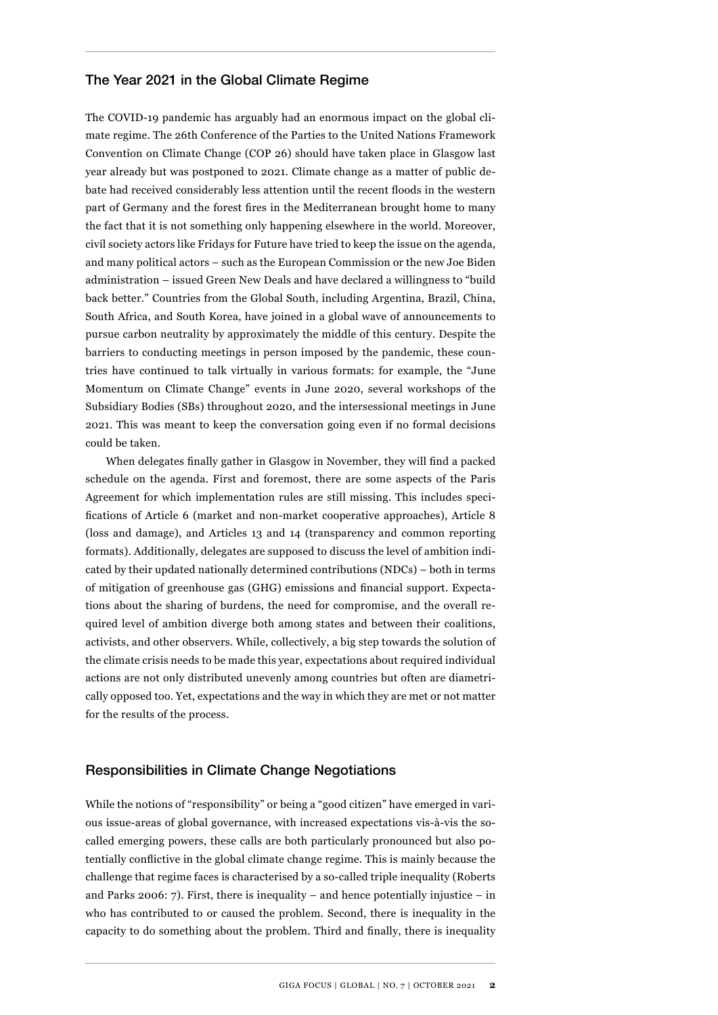#### The Year 2021 in the Global Climate Regime

The COVID-19 pandemic has arguably had an enormous impact on the global climate regime. The 26th Conference of the Parties to the United Nations Framework Convention on Climate Change (COP 26) should have taken place in Glasgow last year already but was postponed to 2021. Climate change as a matter of public debate had received considerably less attention until the recent floods in the western part of Germany and the forest fires in the Mediterranean brought home to many the fact that it is not something only happening elsewhere in the world. Moreover, civil society actors like Fridays for Future have tried to keep the issue on the agenda, and many political actors – such as the European Commission or the new Joe Biden administration – issued Green New Deals and have declared a willingness to "build back better." Countries from the Global South, including Argentina, Brazil, China, South Africa, and South Korea, have joined in a global wave of announcements to pursue carbon neutrality by approximately the middle of this century. Despite the barriers to conducting meetings in person imposed by the pandemic, these countries have continued to talk virtually in various formats: for example, the "June Momentum on Climate Change" events in June 2020, several workshops of the Subsidiary Bodies (SBs) throughout 2020, and the intersessional meetings in June 2021. This was meant to keep the conversation going even if no formal decisions could be taken.

When delegates finally gather in Glasgow in November, they will find a packed schedule on the agenda. First and foremost, there are some aspects of the Paris Agreement for which implementation rules are still missing. This includes specifications of Article 6 (market and non-market cooperative approaches), Article 8 (loss and damage), and Articles 13 and 14 (transparency and common reporting formats). Additionally, delegates are supposed to discuss the level of ambition indicated by their updated nationally determined contributions (NDCs) – both in terms of mitigation of greenhouse gas (GHG) emissions and financial support. Expectations about the sharing of burdens, the need for compromise, and the overall required level of ambition diverge both among states and between their coalitions, activists, and other observers. While, collectively, a big step towards the solution of the climate crisis needs to be made this year, expectations about required individual actions are not only distributed unevenly among countries but often are diametrically opposed too. Yet, expectations and the way in which they are met or not matter for the results of the process.

#### Responsibilities in Climate Change Negotiations

While the notions of "responsibility" or being a "good citizen" have emerged in various issue-areas of global governance, with increased expectations vis-à-vis the socalled emerging powers, these calls are both particularly pronounced but also potentially conflictive in the global climate change regime. This is mainly because the challenge that regime faces is characterised by a so-called triple inequality (Roberts and Parks 2006: 7). First, there is inequality – and hence potentially injustice – in who has contributed to or caused the problem. Second, there is inequality in the capacity to do something about the problem. Third and finally, there is inequality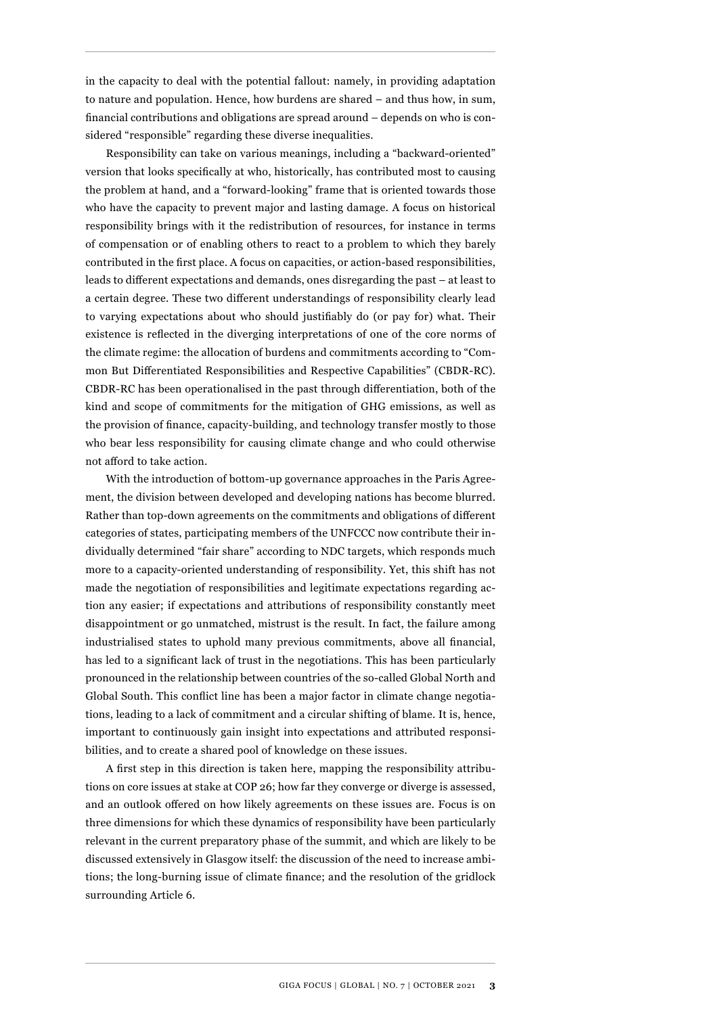in the capacity to deal with the potential fallout: namely, in providing adaptation to nature and population. Hence, how burdens are shared – and thus how, in sum, financial contributions and obligations are spread around – depends on who is considered "responsible" regarding these diverse inequalities.

Responsibility can take on various meanings, including a "backward-oriented" version that looks specifically at who, historically, has contributed most to causing the problem at hand, and a "forward-looking" frame that is oriented towards those who have the capacity to prevent major and lasting damage. A focus on historical responsibility brings with it the redistribution of resources, for instance in terms of compensation or of enabling others to react to a problem to which they barely contributed in the first place. A focus on capacities, or action-based responsibilities, leads to different expectations and demands, ones disregarding the past – at least to a certain degree. These two different understandings of responsibility clearly lead to varying expectations about who should justifiably do (or pay for) what. Their existence is reflected in the diverging interpretations of one of the core norms of the climate regime: the allocation of burdens and commitments according to "Common But Differentiated Responsibilities and Respective Capabilities" (CBDR-RC). CBDR-RC has been operationalised in the past through differentiation, both of the kind and scope of commitments for the mitigation of GHG emissions, as well as the provision of finance, capacity-building, and technology transfer mostly to those who bear less responsibility for causing climate change and who could otherwise not afford to take action.

With the introduction of bottom-up governance approaches in the Paris Agreement, the division between developed and developing nations has become blurred. Rather than top-down agreements on the commitments and obligations of different categories of states, participating members of the UNFCCC now contribute their individually determined "fair share" according to NDC targets, which responds much more to a capacity-oriented understanding of responsibility. Yet, this shift has not made the negotiation of responsibilities and legitimate expectations regarding action any easier; if expectations and attributions of responsibility constantly meet disappointment or go unmatched, mistrust is the result. In fact, the failure among industrialised states to uphold many previous commitments, above all financial, has led to a significant lack of trust in the negotiations. This has been particularly pronounced in the relationship between countries of the so-called Global North and Global South. This conflict line has been a major factor in climate change negotiations, leading to a lack of commitment and a circular shifting of blame. It is, hence, important to continuously gain insight into expectations and attributed responsibilities, and to create a shared pool of knowledge on these issues.

A first step in this direction is taken here, mapping the responsibility attributions on core issues at stake at COP 26; how far they converge or diverge is assessed, and an outlook offered on how likely agreements on these issues are. Focus is on three dimensions for which these dynamics of responsibility have been particularly relevant in the current preparatory phase of the summit, and which are likely to be discussed extensively in Glasgow itself: the discussion of the need to increase ambitions; the long-burning issue of climate finance; and the resolution of the gridlock surrounding Article 6.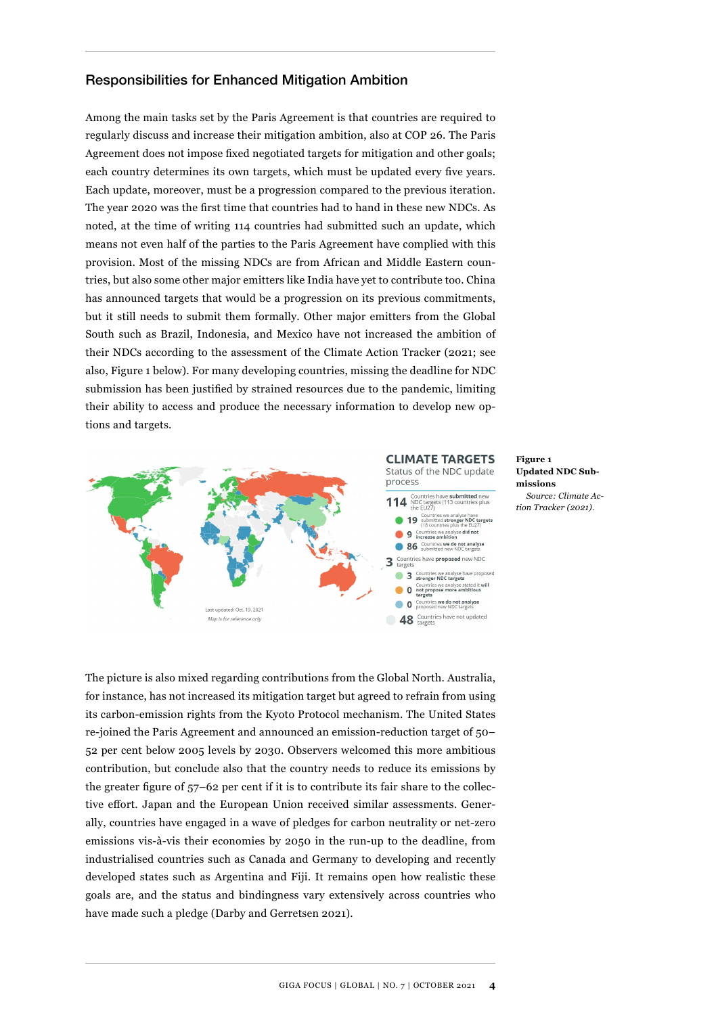#### Responsibilities for Enhanced Mitigation Ambition

Among the main tasks set by the Paris Agreement is that countries are required to regularly discuss and increase their mitigation ambition, also at COP 26. The Paris Agreement does not impose fixed negotiated targets for mitigation and other goals; each country determines its own targets, which must be updated every five years. Each update, moreover, must be a progression compared to the previous iteration. The year 2020 was the first time that countries had to hand in these new NDCs. As noted, at the time of writing 114 countries had submitted such an update, which means not even half of the parties to the Paris Agreement have complied with this provision. Most of the missing NDCs are from African and Middle Eastern countries, but also some other major emitters like India have yet to contribute too. China has announced targets that would be a progression on its previous commitments, but it still needs to submit them formally. Other major emitters from the Global South such as Brazil, Indonesia, and Mexico have not increased the ambition of their NDCs according to the assessment of the Climate Action Tracker (2021; see also, Figure 1 below). For many developing countries, missing the deadline for NDC submission has been justified by strained resources due to the pandemic, limiting their ability to access and produce the necessary information to develop new options and targets.



**Figure 1 Updated NDC Submissions** *Source: Climate Action Tracker (2021).*

The picture is also mixed regarding contributions from the Global North. Australia, for instance, has not increased its mitigation target but agreed to refrain from using its carbon-emission rights from the Kyoto Protocol mechanism. The United States re-joined the Paris Agreement and announced an emission-reduction target of 50– 52 per cent below 2005 levels by 2030. Observers welcomed this more ambitious contribution, but conclude also that the country needs to reduce its emissions by the greater figure of 57–62 per cent if it is to contribute its fair share to the collective effort. Japan and the European Union received similar assessments. Generally, countries have engaged in a wave of pledges for carbon neutrality or net-zero emissions vis-à-vis their economies by 2050 in the run-up to the deadline, from industrialised countries such as Canada and Germany to developing and recently developed states such as Argentina and Fiji. It remains open how realistic these goals are, and the status and bindingness vary extensively across countries who have made such a pledge (Darby and Gerretsen 2021).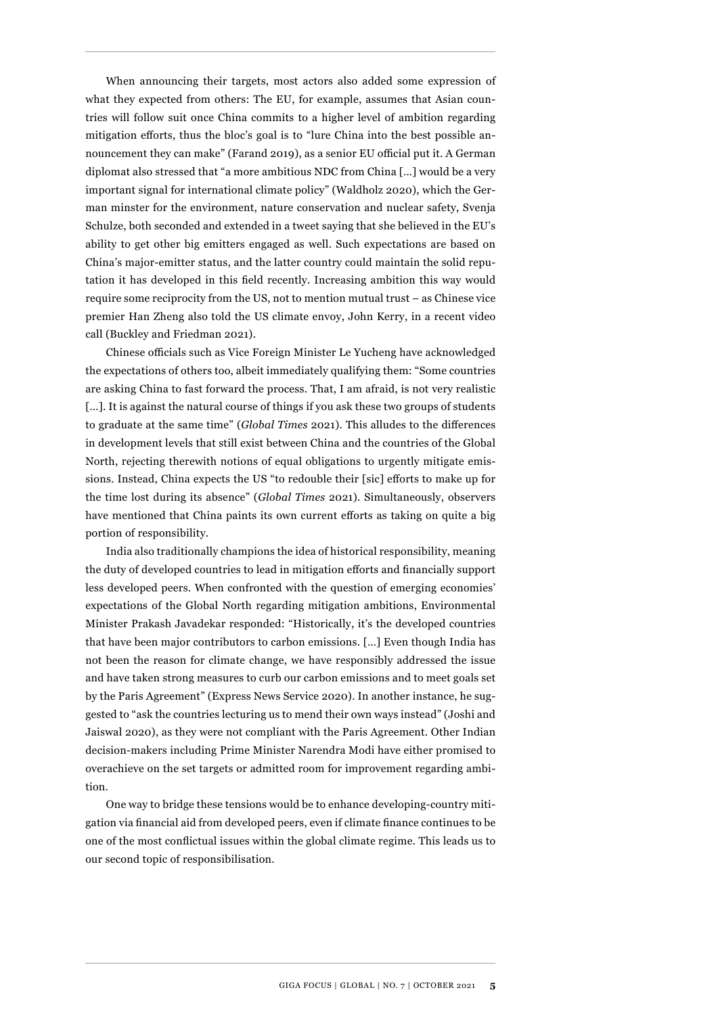When announcing their targets, most actors also added some expression of what they expected from others: The EU, for example, assumes that Asian countries will follow suit once China commits to a higher level of ambition regarding mitigation efforts, thus the bloc's goal is to "lure China into the best possible announcement they can make" (Farand 2019), as a senior EU official put it. A German diplomat also stressed that "a more ambitious NDC from China […] would be a very important signal for international climate policy" (Waldholz 2020), which the German minster for the environment, nature conservation and nuclear safety, Svenja Schulze, both seconded and extended in a tweet saying that she believed in the EU's ability to get other big emitters engaged as well. Such expectations are based on China's major-emitter status, and the latter country could maintain the solid reputation it has developed in this field recently. Increasing ambition this way would require some reciprocity from the US, not to mention mutual trust – as Chinese vice premier Han Zheng also told the US climate envoy, John Kerry, in a recent video call (Buckley and Friedman 2021).

Chinese officials such as Vice Foreign Minister Le Yucheng have acknowledged the expectations of others too, albeit immediately qualifying them: "Some countries are asking China to fast forward the process. That, I am afraid, is not very realistic [...]. It is against the natural course of things if you ask these two groups of students to graduate at the same time" (*Global Times* 2021). This alludes to the differences in development levels that still exist between China and the countries of the Global North, rejecting therewith notions of equal obligations to urgently mitigate emissions. Instead, China expects the US "to redouble their [sic] efforts to make up for the time lost during its absence" (*Global Times* 2021). Simultaneously, observers have mentioned that China paints its own current efforts as taking on quite a big portion of responsibility.

India also traditionally champions the idea of historical responsibility, meaning the duty of developed countries to lead in mitigation efforts and financially support less developed peers. When confronted with the question of emerging economies' expectations of the Global North regarding mitigation ambitions, Environmental Minister Prakash Javadekar responded: "Historically, it's the developed countries that have been major contributors to carbon emissions. […] Even though India has not been the reason for climate change, we have responsibly addressed the issue and have taken strong measures to curb our carbon emissions and to meet goals set by the Paris Agreement" (Express News Service 2020). In another instance, he suggested to "ask the countries lecturing us to mend their own ways instead" (Joshi and Jaiswal 2020), as they were not compliant with the Paris Agreement. Other Indian decision-makers including Prime Minister Narendra Modi have either promised to overachieve on the set targets or admitted room for improvement regarding ambition.

One way to bridge these tensions would be to enhance developing-country mitigation via financial aid from developed peers, even if climate finance continues to be one of the most conflictual issues within the global climate regime. This leads us to our second topic of responsibilisation.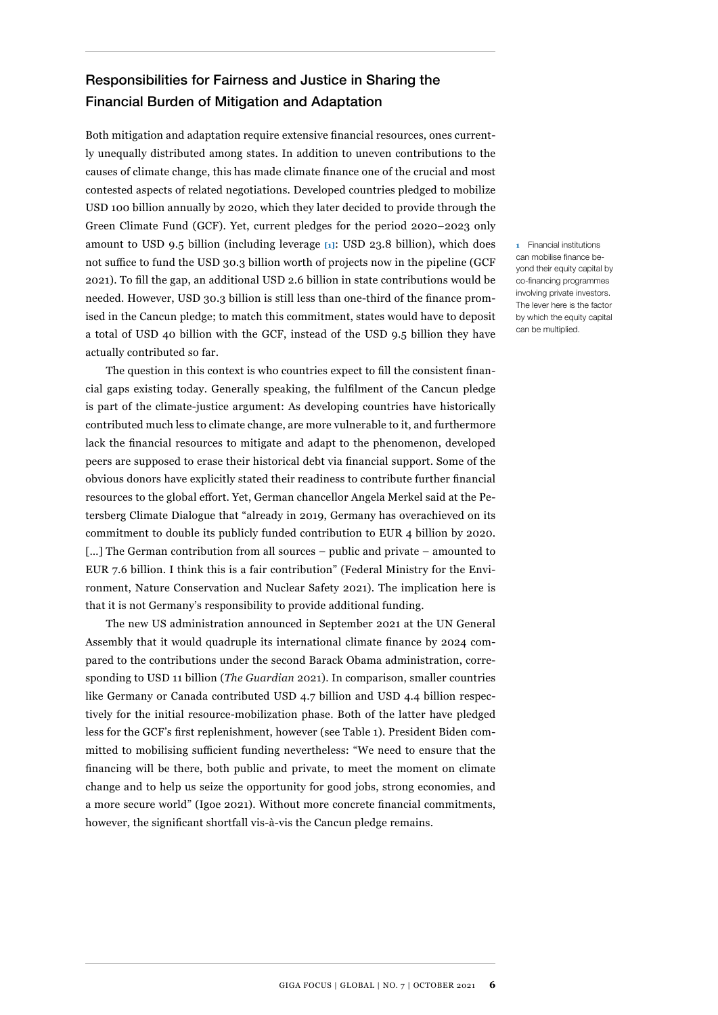### Responsibilities for Fairness and Justice in Sharing the Financial Burden of Mitigation and Adaptation

Both mitigation and adaptation require extensive financial resources, ones currently unequally distributed among states. In addition to uneven contributions to the causes of climate change, this has made climate finance one of the crucial and most contested aspects of related negotiations. Developed countries pledged to mobilize USD 100 billion annually by 2020, which they later decided to provide through the Green Climate Fund (GCF). Yet, current pledges for the period 2020–2023 only amount to USD 9.5 billion (including leverage **[1]**: USD 23.8 billion), which does not suffice to fund the USD 30.3 billion worth of projects now in the pipeline (GCF 2021). To fill the gap, an additional USD 2.6 billion in state contributions would be needed. However, USD 30.3 billion is still less than one-third of the finance promised in the Cancun pledge; to match this commitment, states would have to deposit a total of USD 40 billion with the GCF, instead of the USD 9.5 billion they have actually contributed so far.

The question in this context is who countries expect to fill the consistent financial gaps existing today. Generally speaking, the fulfilment of the Cancun pledge is part of the climate-justice argument: As developing countries have historically contributed much less to climate change, are more vulnerable to it, and furthermore lack the financial resources to mitigate and adapt to the phenomenon, developed peers are supposed to erase their historical debt via financial support. Some of the obvious donors have explicitly stated their readiness to contribute further financial resources to the global effort. Yet, German chancellor Angela Merkel said at the Petersberg Climate Dialogue that "already in 2019, Germany has overachieved on its commitment to double its publicly funded contribution to EUR 4 billion by 2020. [...] The German contribution from all sources – public and private – amounted to EUR 7.6 billion. I think this is a fair contribution" (Federal Ministry for the Environment, Nature Conservation and Nuclear Safety 2021). The implication here is that it is not Germany's responsibility to provide additional funding.

The new US administration announced in September 2021 at the UN General Assembly that it would quadruple its international climate finance by 2024 compared to the contributions under the second Barack Obama administration, corresponding to USD 11 billion (*The Guardian* 2021). In comparison, smaller countries like Germany or Canada contributed USD 4.7 billion and USD 4.4 billion respectively for the initial resource-mobilization phase. Both of the latter have pledged less for the GCF's first replenishment, however (see Table 1). President Biden committed to mobilising sufficient funding nevertheless: "We need to ensure that the financing will be there, both public and private, to meet the moment on climate change and to help us seize the opportunity for good jobs, strong economies, and a more secure world" (Igoe 2021). Without more concrete financial commitments, however, the significant shortfall vis-à-vis the Cancun pledge remains.

**1** Financial institutions can mobilise finance beyond their equity capital by co-financing programmes involving private investors. The lever here is the factor by which the equity capital can be multiplied.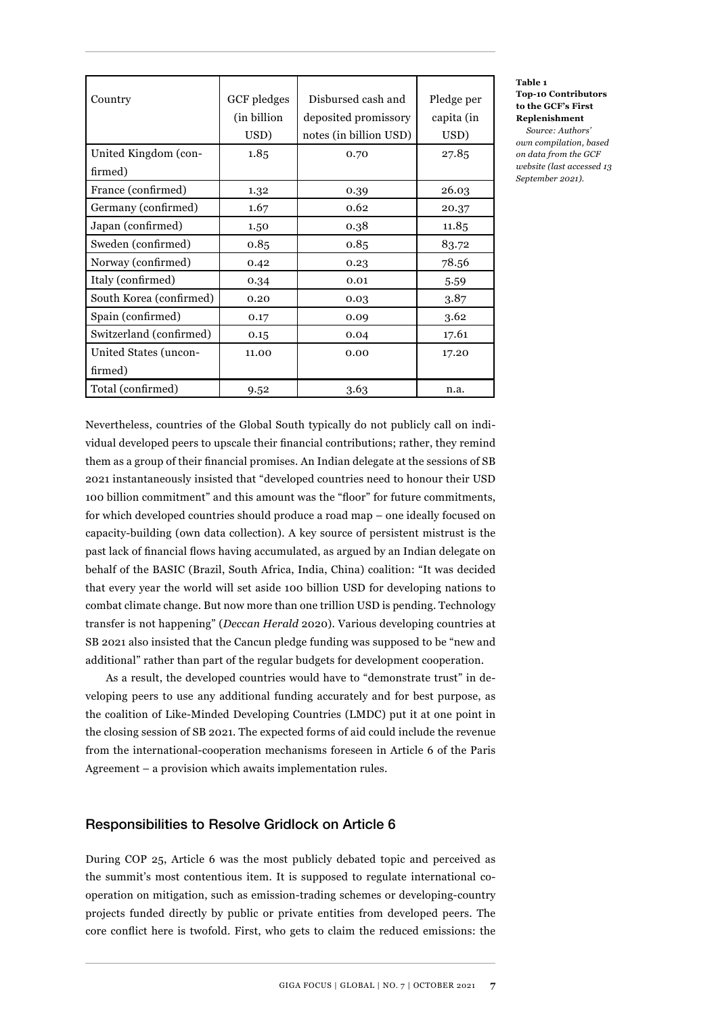| Country                 | <b>GCF</b> pledges<br>(in billion)<br>USD) | Disbursed cash and<br>deposited promissory<br>notes (in billion USD) | Pledge per<br>capita (in<br>USD) |
|-------------------------|--------------------------------------------|----------------------------------------------------------------------|----------------------------------|
| United Kingdom (con-    | 1.85                                       | 0.70                                                                 | 27.85                            |
| firmed)                 |                                            |                                                                      |                                  |
| France (confirmed)      | 1.32                                       | 0.39                                                                 | 26.03                            |
| Germany (confirmed)     | 1.67                                       | 0.62                                                                 | 20.37                            |
| Japan (confirmed)       | 1.50                                       | 0.38                                                                 | 11.85                            |
| Sweden (confirmed)      | 0.85                                       | 0.85                                                                 | 83.72                            |
| Norway (confirmed)      | 0.42                                       | 0.23                                                                 | 78.56                            |
| Italy (confirmed)       | 0.34                                       | 0.01                                                                 | 5.59                             |
| South Korea (confirmed) | 0.20                                       | 0.03                                                                 | 3.87                             |
| Spain (confirmed)       | 0.17                                       | 0.09                                                                 | 3.62                             |
| Switzerland (confirmed) | 0.15                                       | 0.04                                                                 | 17.61                            |
| United States (uncon-   | 11.00                                      | 0.00                                                                 | 17.20                            |
| firmed)                 |                                            |                                                                      |                                  |
| Total (confirmed)       | 9.52                                       | 3.63                                                                 | n.a.                             |

**Table 1 Top-10 Contributors to the GCF's First Replenishment**

*Source: Authors' own compilation, based on data from the GCF website (last accessed 13 September 2021).*

Nevertheless, countries of the Global South typically do not publicly call on individual developed peers to upscale their financial contributions; rather, they remind them as a group of their financial promises. An Indian delegate at the sessions of SB 2021 instantaneously insisted that "developed countries need to honour their USD 100 billion commitment" and this amount was the "floor" for future commitments, for which developed countries should produce a road map – one ideally focused on capacity-building (own data collection). A key source of persistent mistrust is the past lack of financial flows having accumulated, as argued by an Indian delegate on behalf of the BASIC (Brazil, South Africa, India, China) coalition: "It was decided that every year the world will set aside 100 billion USD for developing nations to combat climate change. But now more than one trillion USD is pending. Technology transfer is not happening" (*Deccan Herald* 2020). Various developing countries at SB 2021 also insisted that the Cancun pledge funding was supposed to be "new and additional" rather than part of the regular budgets for development cooperation.

As a result, the developed countries would have to "demonstrate trust" in developing peers to use any additional funding accurately and for best purpose, as the coalition of Like-Minded Developing Countries (LMDC) put it at one point in the closing session of SB 2021. The expected forms of aid could include the revenue from the international-cooperation mechanisms foreseen in Article 6 of the Paris Agreement – a provision which awaits implementation rules.

#### Responsibilities to Resolve Gridlock on Article 6

During COP 25, Article 6 was the most publicly debated topic and perceived as the summit's most contentious item. It is supposed to regulate international cooperation on mitigation, such as emission-trading schemes or developing-country projects funded directly by public or private entities from developed peers. The core conflict here is twofold. First, who gets to claim the reduced emissions: the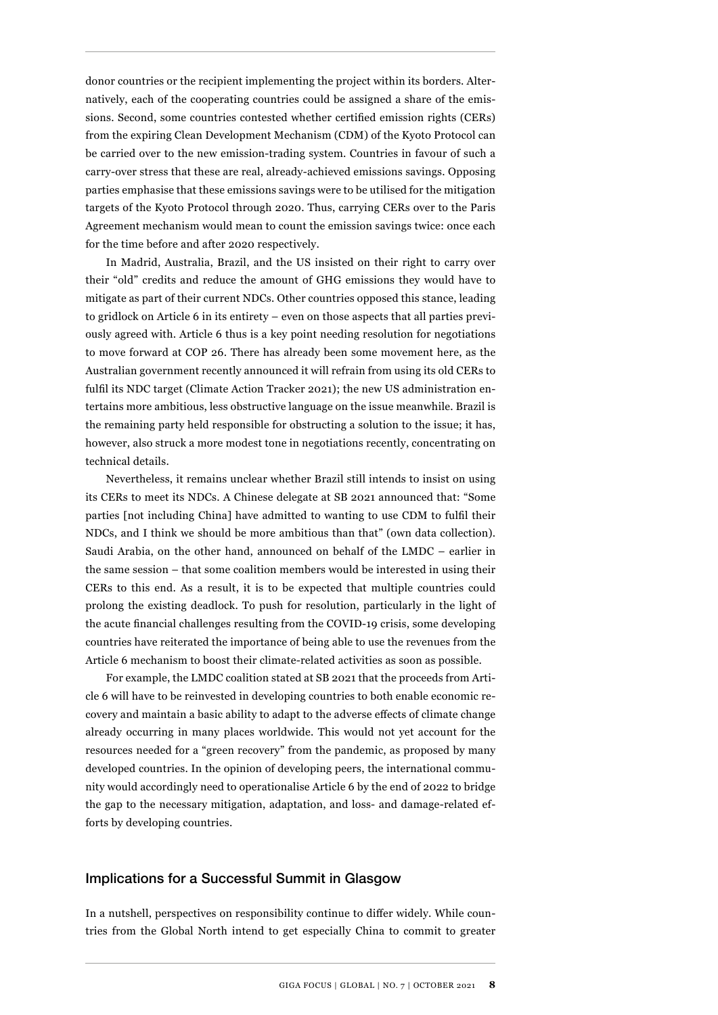donor countries or the recipient implementing the project within its borders. Alternatively, each of the cooperating countries could be assigned a share of the emissions. Second, some countries contested whether certified emission rights (CERs) from the expiring Clean Development Mechanism (CDM) of the Kyoto Protocol can be carried over to the new emission-trading system. Countries in favour of such a carry-over stress that these are real, already-achieved emissions savings. Opposing parties emphasise that these emissions savings were to be utilised for the mitigation targets of the Kyoto Protocol through 2020. Thus, carrying CERs over to the Paris Agreement mechanism would mean to count the emission savings twice: once each for the time before and after 2020 respectively.

In Madrid, Australia, Brazil, and the US insisted on their right to carry over their "old" credits and reduce the amount of GHG emissions they would have to mitigate as part of their current NDCs. Other countries opposed this stance, leading to gridlock on Article 6 in its entirety – even on those aspects that all parties previously agreed with. Article 6 thus is a key point needing resolution for negotiations to move forward at COP 26. There has already been some movement here, as the Australian government recently announced it will refrain from using its old CERs to fulfil its NDC target (Climate Action Tracker 2021); the new US administration entertains more ambitious, less obstructive language on the issue meanwhile. Brazil is the remaining party held responsible for obstructing a solution to the issue; it has, however, also struck a more modest tone in negotiations recently, concentrating on technical details.

Nevertheless, it remains unclear whether Brazil still intends to insist on using its CERs to meet its NDCs. A Chinese delegate at SB 2021 announced that: "Some parties [not including China] have admitted to wanting to use CDM to fulfil their NDCs, and I think we should be more ambitious than that" (own data collection). Saudi Arabia, on the other hand, announced on behalf of the LMDC – earlier in the same session – that some coalition members would be interested in using their CERs to this end. As a result, it is to be expected that multiple countries could prolong the existing deadlock. To push for resolution, particularly in the light of the acute financial challenges resulting from the COVID-19 crisis, some developing countries have reiterated the importance of being able to use the revenues from the Article 6 mechanism to boost their climate-related activities as soon as possible.

For example, the LMDC coalition stated at SB 2021 that the proceeds from Article 6 will have to be reinvested in developing countries to both enable economic recovery and maintain a basic ability to adapt to the adverse effects of climate change already occurring in many places worldwide. This would not yet account for the resources needed for a "green recovery" from the pandemic, as proposed by many developed countries. In the opinion of developing peers, the international community would accordingly need to operationalise Article 6 by the end of 2022 to bridge the gap to the necessary mitigation, adaptation, and loss- and damage-related efforts by developing countries.

#### Implications for a Successful Summit in Glasgow

In a nutshell, perspectives on responsibility continue to differ widely. While countries from the Global North intend to get especially China to commit to greater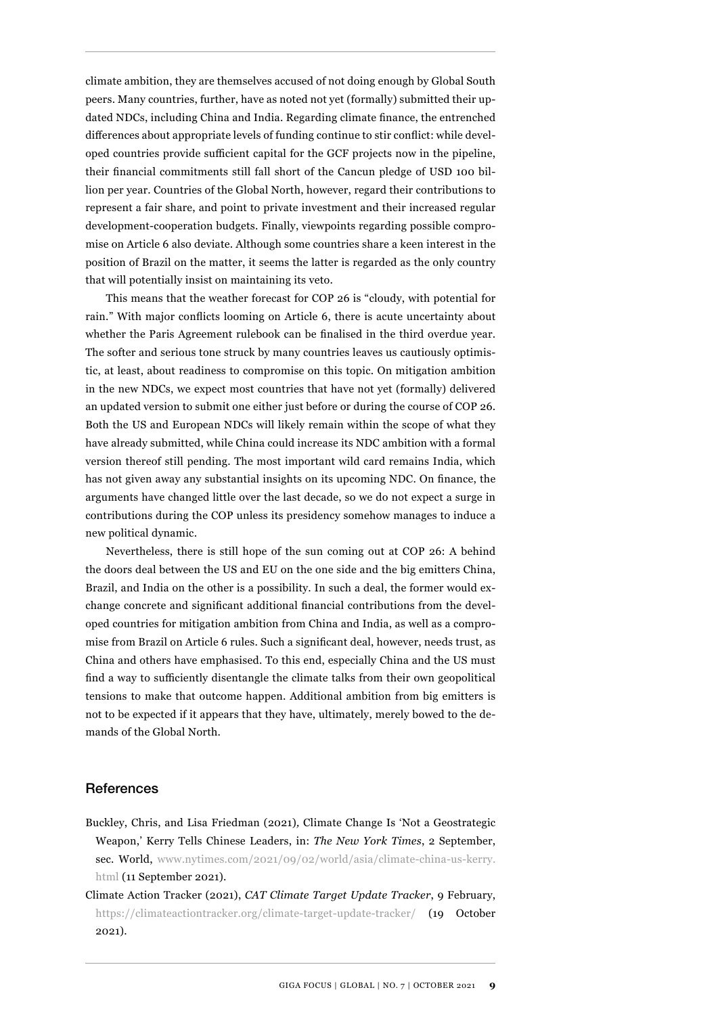climate ambition, they are themselves accused of not doing enough by Global South peers. Many countries, further, have as noted not yet (formally) submitted their updated NDCs, including China and India. Regarding climate finance, the entrenched differences about appropriate levels of funding continue to stir conflict: while developed countries provide sufficient capital for the GCF projects now in the pipeline, their financial commitments still fall short of the Cancun pledge of USD 100 billion per year. Countries of the Global North, however, regard their contributions to represent a fair share, and point to private investment and their increased regular development-cooperation budgets. Finally, viewpoints regarding possible compromise on Article 6 also deviate. Although some countries share a keen interest in the position of Brazil on the matter, it seems the latter is regarded as the only country that will potentially insist on maintaining its veto.

This means that the weather forecast for COP 26 is "cloudy, with potential for rain." With major conflicts looming on Article 6, there is acute uncertainty about whether the Paris Agreement rulebook can be finalised in the third overdue year. The softer and serious tone struck by many countries leaves us cautiously optimistic, at least, about readiness to compromise on this topic. On mitigation ambition in the new NDCs, we expect most countries that have not yet (formally) delivered an updated version to submit one either just before or during the course of COP 26. Both the US and European NDCs will likely remain within the scope of what they have already submitted, while China could increase its NDC ambition with a formal version thereof still pending. The most important wild card remains India, which has not given away any substantial insights on its upcoming NDC. On finance, the arguments have changed little over the last decade, so we do not expect a surge in contributions during the COP unless its presidency somehow manages to induce a new political dynamic.

Nevertheless, there is still hope of the sun coming out at COP 26: A behind the doors deal between the US and EU on the one side and the big emitters China, Brazil, and India on the other is a possibility. In such a deal, the former would exchange concrete and significant additional financial contributions from the developed countries for mitigation ambition from China and India, as well as a compromise from Brazil on Article 6 rules. Such a significant deal, however, needs trust, as China and others have emphasised. To this end, especially China and the US must find a way to sufficiently disentangle the climate talks from their own geopolitical tensions to make that outcome happen. Additional ambition from big emitters is not to be expected if it appears that they have, ultimately, merely bowed to the demands of the Global North.

#### References

- Buckley, Chris, and Lisa Friedman (2021)*,* Climate Change Is 'Not a Geostrategic Weapon,' Kerry Tells Chinese Leaders, in: *The New York Times*, 2 September, sec. World, [www.nytimes.com/2021/09/02/world/asia/climate-china-us-kerry.](http://www.nytimes.com/2021/09/02/world/asia/climate-china-us-kerry.html) [html](http://www.nytimes.com/2021/09/02/world/asia/climate-china-us-kerry.html) (11 September 2021).
- Climate Action Tracker (2021), *CAT Climate Target Update Tracker*, 9 February, <https://climateactiontracker.org/climate-target-update-tracker/> (19 October 2021).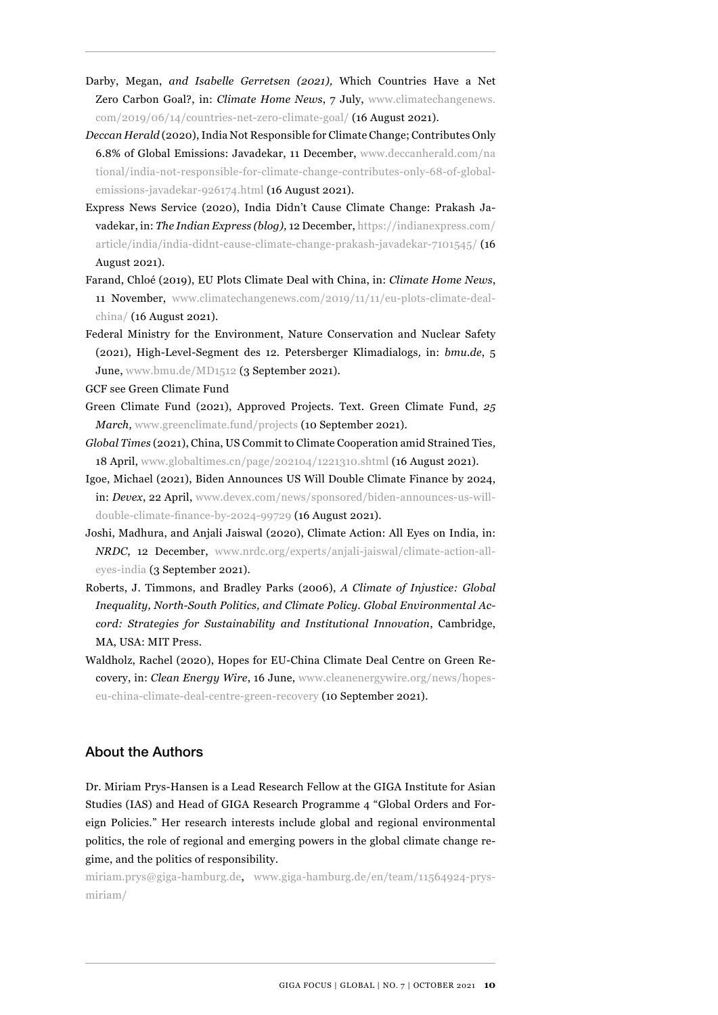- Darby, Megan, *and Isabelle Gerretsen (2021),* Which Countries Have a Net Zero Carbon Goal?, in: *Climate Home News*, 7 July, [www.climatechangenews.](http://www.climatechangenews.com/2019/06/14/countries-net-zero-climate-goal/) [com/2019/06/14/countries-net-zero-climate-goal/](http://www.climatechangenews.com/2019/06/14/countries-net-zero-climate-goal/) (16 August 2021).
- *Deccan Herald* (2020), India Not Responsible for Climate Change; Contributes Only 6.8% of Global Emissions: Javadekar, 11 December, [www.deccanherald.com/na](http://www.deccanherald.com/national/india-not-responsible-for-climate-change-contributes-only-68-of-global-emissions-javadekar-926174.html) [tional/india-not-responsible-for-climate-change-contributes-only-68-of-global](http://www.deccanherald.com/national/india-not-responsible-for-climate-change-contributes-only-68-of-global-emissions-javadekar-926174.html)[emissions-javadekar-926174.html](http://www.deccanherald.com/national/india-not-responsible-for-climate-change-contributes-only-68-of-global-emissions-javadekar-926174.html) (16 August 2021).
- Express News Service (2020), India Didn't Cause Climate Change: Prakash Javadekar, in: *The Indian Express (blog),* 12 December, [https://indianexpress.com/](https://indianexpress.com/article/india/india-didnt-cause-climate-change-prakash-javadekar-7101545/) [article/india/india-didnt-cause-climate-change-prakash-javadekar-7101545/](https://indianexpress.com/article/india/india-didnt-cause-climate-change-prakash-javadekar-7101545/) (16 August 2021).
- Farand, Chloé (2019), EU Plots Climate Deal with China, in: *Climate Home News*, 11 November, [www.climatechangenews.com/2019/11/11/eu-plots-climate-deal](http://www.climatechangenews.com/2019/11/11/eu-plots-climate-deal-china/)[china/](http://www.climatechangenews.com/2019/11/11/eu-plots-climate-deal-china/) (16 August 2021).
- Federal Ministry for the Environment, Nature Conservation and Nuclear Safety (2021), High-Level-Segment des 12. Petersberger Klimadialogs*,* in: *bmu.de*, 5 June, [www.bmu.de/MD1512](http://www.bmu.de/MD1512) (3 September 2021).

GCF see Green Climate Fund

- Green Climate Fund (2021), Approved Projects. Text. Green Climate Fund, *25 March,* [www.greenclimate.fund/projects](http://www.greenclimate.fund/projects) (10 September 2021).
- *Global Times* (2021), China, US Commit to Climate Cooperation amid Strained Ties*,* 18 April, [www.globaltimes.cn/page/202104/1221310.shtml](http://www.globaltimes.cn/page/202104/1221310.shtml) (16 August 2021).
- Igoe, Michael (2021), Biden Announces US Will Double Climate Finance by 2024, in: *Devex*, 22 April, [www.devex.com/news/sponsored/biden-announces-us-will](http://www.devex.com/news/sponsored/biden-announces-us-will-double-climate-finance-by-2024-99729)[double-climate-finance-by-2024-99729](http://www.devex.com/news/sponsored/biden-announces-us-will-double-climate-finance-by-2024-99729) (16 August 2021).
- Joshi, Madhura, and Anjali Jaiswal (2020), Climate Action: All Eyes on India, in: *NRDC*, 12 December, [www.nrdc.org/experts/anjali-jaiswal/climate-action-all](http://www.nrdc.org/experts/anjali-jaiswal/climate-action-all-eyes-india)[eyes-india](http://www.nrdc.org/experts/anjali-jaiswal/climate-action-all-eyes-india) (3 September 2021).
- Roberts, J. Timmons, and Bradley Parks (2006), *A Climate of Injustice: Global Inequality, North-South Politics, and Climate Policy. Global Environmental Accord: Strategies for Sustainability and Institutional Innovation*, Cambridge, MA, USA: MIT Press.
- Waldholz, Rachel (2020), Hopes for EU-China Climate Deal Centre on Green Recovery, in: *Clean Energy Wire*, 16 June, [www.cleanenergywire.org/news/hopes](http://www.cleanenergywire.org/news/hopes-eu-china-climate-deal-centre-green-recovery)[eu-china-climate-deal-centre-green-recovery](http://www.cleanenergywire.org/news/hopes-eu-china-climate-deal-centre-green-recovery) (10 September 2021).

#### About the Authors

Dr. Miriam Prys-Hansen is a Lead Research Fellow at the GIGA Institute for Asian Studies (IAS) and Head of GIGA Research Programme 4 "Global Orders and Foreign Policies." Her research interests include global and regional environmental politics, the role of regional and emerging powers in the global climate change regime, and the politics of responsibility.

miriam.prys@giga-hamburg.de, [www.giga-hamburg.de/en/team/11564924-prys](http://www.giga-hamburg.de/en/team/11564924-prys-miriam/)[miriam/](http://www.giga-hamburg.de/en/team/11564924-prys-miriam/)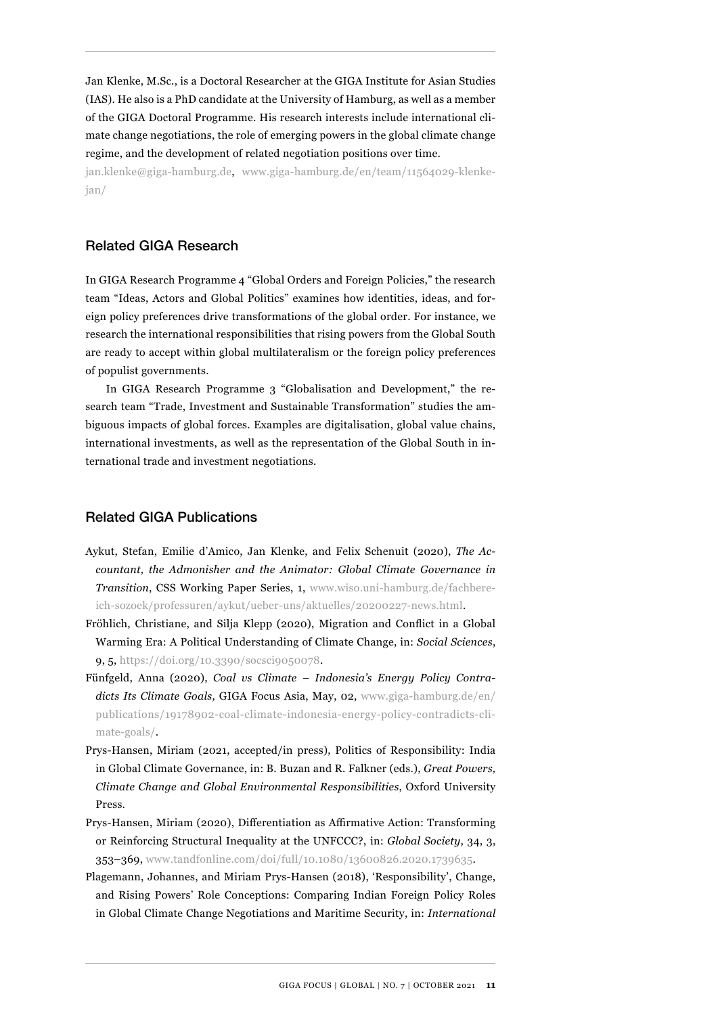Jan Klenke, M.Sc., is a Doctoral Researcher at the GIGA Institute for Asian Studies (IAS). He also is a PhD candidate at the University of Hamburg, as well as a member of the GIGA Doctoral Programme. His research interests include international climate change negotiations, the role of emerging powers in the global climate change regime, and the development of related negotiation positions over time.

jan.klenke@giga-hamburg.de, [www.giga-hamburg.de/en/team/11564029-klenke](http://www.giga-hamburg.de/en/team/11564029-klenke-jan/)[jan/](http://www.giga-hamburg.de/en/team/11564029-klenke-jan/)

#### Related GIGA Research

In GIGA Research Programme 4 "Global Orders and Foreign Policies," the research team "Ideas, Actors and Global Politics" examines how identities, ideas, and foreign policy preferences drive transformations of the global order. For instance, we research the international responsibilities that rising powers from the Global South are ready to accept within global multilateralism or the foreign policy preferences of populist governments.

In GIGA Research Programme 3 "Globalisation and Development," the research team "Trade, Investment and Sustainable Transformation" studies the ambiguous impacts of global forces. Examples are digitalisation, global value chains, international investments, as well as the representation of the Global South in international trade and investment negotiations.

#### Related GIGA Publications

- Aykut, Stefan, Emilie d'Amico, Jan Klenke, and Felix Schenuit (2020), *The Accountant, the Admonisher and the Animator: Global Climate Governance in Transition*, CSS Working Paper Series, 1, [www.wiso.uni-hamburg.de/fachbere](http://www.wiso.uni-hamburg.de/fachbereich-sozoek/professuren/aykut/ueber-uns/aktuelles/20200227-news.html)[ich-sozoek/professuren/aykut/ueber-uns/aktuelles/20200227-news.html](http://www.wiso.uni-hamburg.de/fachbereich-sozoek/professuren/aykut/ueber-uns/aktuelles/20200227-news.html).
- Fröhlich, Christiane, and Silja Klepp (2020), Migration and Conflict in a Global Warming Era: A Political Understanding of Climate Change, in: *Social Sciences*, 9, 5,<https://doi.org/10.3390/socsci9050078>.
- Fünfgeld, Anna (2020), *Coal vs Climate Indonesia's Energy Policy Contradicts Its Climate Goals,* GIGA Focus Asia, May, 02, [www.giga-hamburg.de/en/](http://www.giga-hamburg.de/en/publications/19178902-coal-climate-indonesia-energy-policy-contradicts-climate-goals/) [publications/19178902-coal-climate-indonesia-energy-policy-contradicts-cli](http://www.giga-hamburg.de/en/publications/19178902-coal-climate-indonesia-energy-policy-contradicts-climate-goals/)[mate-goals/.](http://www.giga-hamburg.de/en/publications/19178902-coal-climate-indonesia-energy-policy-contradicts-climate-goals/)
- Prys-Hansen, Miriam (2021, accepted/in press), Politics of Responsibility: India in Global Climate Governance, in: B. Buzan and R. Falkner (eds.), *Great Powers, Climate Change and Global Environmental Responsibilities*, Oxford University Press.
- Prys-Hansen, Miriam (2020), Differentiation as Affirmative Action: Transforming or Reinforcing Structural Inequality at the UNFCCC?, in: *Global Society*, 34, 3, 353–369, [www.tandfonline.com/doi/full/10.1080/13600826.2020.1739635](http://www.tandfonline.com/doi/full/10.1080/13600826.2020.1739635).
- Plagemann, Johannes, and Miriam Prys-Hansen (2018), 'Responsibility', Change, and Rising Powers' Role Conceptions: Comparing Indian Foreign Policy Roles in Global Climate Change Negotiations and Maritime Security, in: *International*